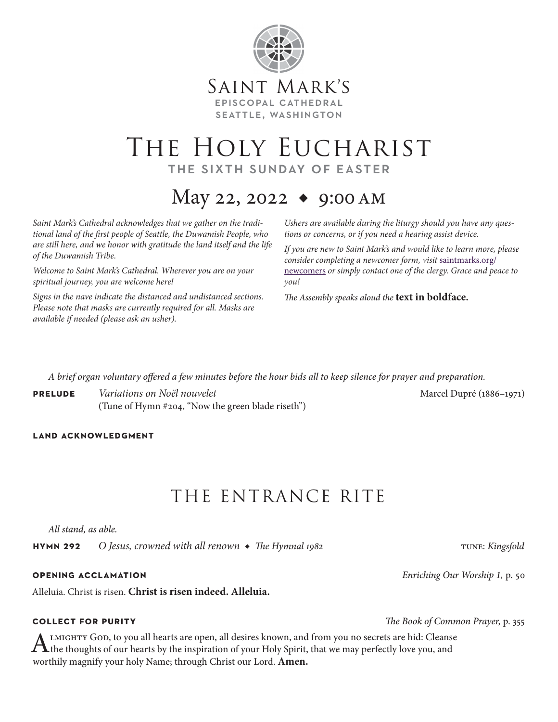

## THE HOLY EUCHARIST the sixth sunday of easter

## May 22, 2022  $\bullet$  9:00 AM

*Saint Mark's Cathedral acknowledges that we gather on the traditional land of the first people of Seattle, the Duwamish People, who are still here, and we honor with gratitude the land itself and the life of the Duwamish Tribe.* 

*Welcome to Saint Mark's Cathedral. Wherever you are on your spiritual journey, you are welcome here!*

*Signs in the nave indicate the distanced and undistanced sections. Please note that masks are currently required for all. Masks are available if needed (please ask an usher).*

*Ushers are available during the liturgy should you have any questions or concerns, or if you need a hearing assist device.*

*If you are new to Saint Mark's and would like to learn more, please consider completing a newcomer form, visit* saintmarks.org/ newcomers *or simply contact one of the clergy. Grace and peace to you!*

*The Assembly speaks aloud the* **text in boldface.**

*A brief organ voluntary offered a few minutes before the hour bids all to keep silence for prayer and preparation.*

**PRELUDE** *Variations on Noël nouvelet PRELUDE Marcel Dupré* (1886–1971) (Tune of Hymn #204, "Now the green blade riseth")

### **land acknowledgment**

## THE ENTRANCE RITE

*All stand, as able.*

**hymn 292** O Jesus, crowned with all renown ◆ The Hymnal 1982 tune: *Kingsfold* 

Alleluia. Christ is risen. **Christ is risen indeed. Alleluia.**

ALMIGHTY GOD, to you all hearts are open, all desires known, and from you no secrets are hid: Cleanse<br>the thoughts of our hearts by the inspiration of your Holy Spirit, that we may perfectly love you, and worthily magnify your holy Name; through Christ our Lord. **Amen.**

**opening acclamation** *Enriching Our Worship 1,* p. 50

**collect for purity** *The Book of Common Prayer,* p. 355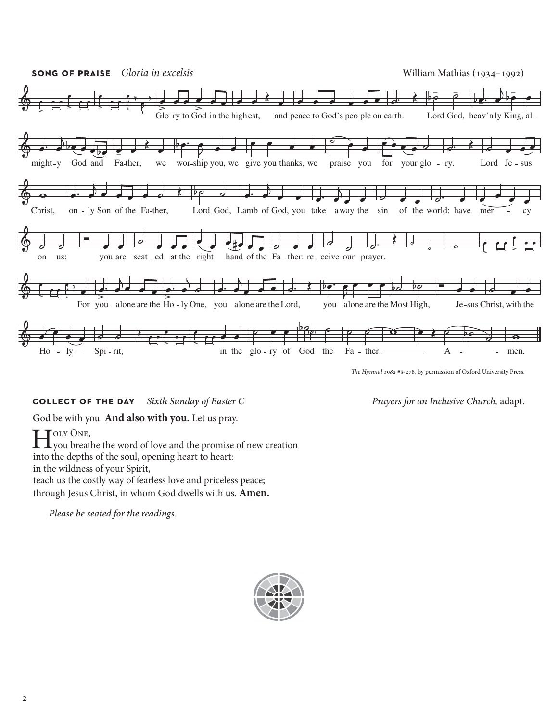

*The Hymnal 1982* #s-278, by permission of Oxford University Press.

### **collect of the day** *Sixth Sunday of Easter C Prayers for an Inclusive Church,* adapt.

### God be with you. **And also with you.** Let us pray.

Holy ONE,<br>you breathe the word of love and the promise of new creation into the depths of the soul, opening heart to heart: in the wildness of your Spirit, teach us the costly way of fearless love and priceless peace; through Jesus Christ, in whom God dwells with us. **Amen.**

*Please be seated for the readings.*

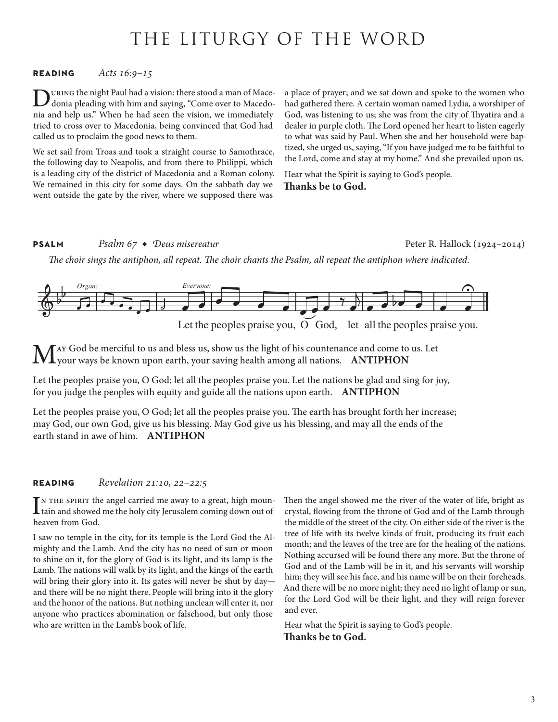## THE LITURGY OF THE WORD

### **reading** *Acts 16:9–15*

URING the night Paul had a vision: there stood a man of Macedonia pleading with him and saying, "Come over to Macedonia and help us." When he had seen the vision, we immediately tried to cross over to Macedonia, being convinced that God had called us to proclaim the good news to them.

We set sail from Troas and took a straight course to Samothrace, the following day to Neapolis, and from there to Philippi, which is a leading city of the district of Macedonia and a Roman colony. We remained in this city for some days. On the sabbath day we went outside the gate by the river, where we supposed there was

a place of prayer; and we sat down and spoke to the women who had gathered there. A certain woman named Lydia, a worshiper of God, was listening to us; she was from the city of Thyatira and a dealer in purple cloth. The Lord opened her heart to listen eagerly to what was said by Paul. When she and her household were baptized, she urged us, saying, "If you have judged me to be faithful to the Lord, come and stay at my home." And she prevailed upon us.

Hear what the Spirit is saying to God's people.

**Thanks be to God.**

### **PSALM** *Psalm 67 ◆ Deus misereatur* **Peter R. Hallock (1924–2014)** Peter R. Hallock (1924–2014)

*The choir sings the antiphon, all repeat. The choir chants the Psalm, all repeat the antiphon where indicated.*



AY God be merciful to us and bless us, show us the light of his countenance and come to us. Let your ways be known upon earth, your saving health among all nations. **ANTIPHON**

Let the peoples praise you, O God; let all the peoples praise you. Let the nations be glad and sing for joy, for you judge the peoples with equity and guide all the nations upon earth. **ANTIPHON**

Let the peoples praise you, O God; let all the peoples praise you. The earth has brought forth her increase; may God, our own God, give us his blessing. May God give us his blessing, and may all the ends of the earth stand in awe of him. **ANTIPHON**

### **reading** *Revelation 21:10, 22–22:5*

IN THE SPIRIT th<br>tain and showed<br>heaven from God. N THE SPIRIT the angel carried me away to a great, high mountain and showed me the holy city Jerusalem coming down out of

I saw no temple in the city, for its temple is the Lord God the Almighty and the Lamb. And the city has no need of sun or moon to shine on it, for the glory of God is its light, and its lamp is the Lamb. The nations will walk by its light, and the kings of the earth will bring their glory into it. Its gates will never be shut by day and there will be no night there. People will bring into it the glory and the honor of the nations. But nothing unclean will enter it, nor anyone who practices abomination or falsehood, but only those who are written in the Lamb's book of life.

Then the angel showed me the river of the water of life, bright as crystal, flowing from the throne of God and of the Lamb through the middle of the street of the city. On either side of the river is the tree of life with its twelve kinds of fruit, producing its fruit each month; and the leaves of the tree are for the healing of the nations. Nothing accursed will be found there any more. But the throne of God and of the Lamb will be in it, and his servants will worship him; they will see his face, and his name will be on their foreheads. And there will be no more night; they need no light of lamp or sun, for the Lord God will be their light, and they will reign forever and ever.

Hear what the Spirit is saying to God's people. **Thanks be to God.**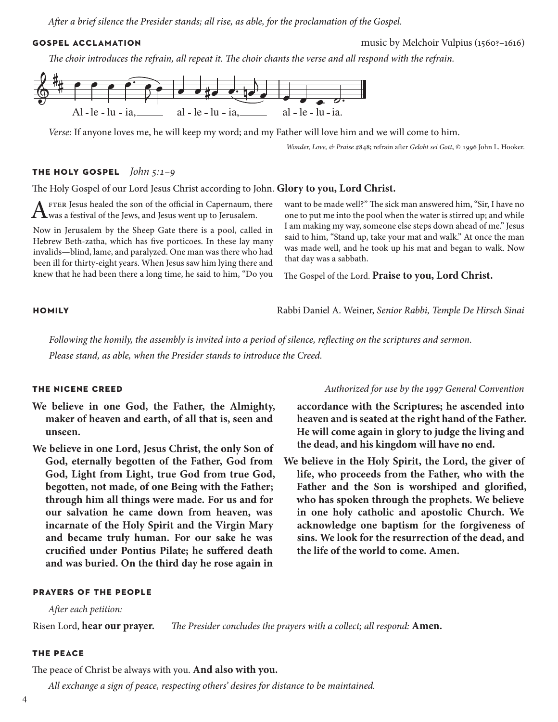*After a brief silence the Presider stands; all rise, as able, for the proclamation of the Gospel.*

**gospel acclamation** music by Melchoir Vulpius (1560?–1616)

*The choir introduces the refrain, all repeat it. The choir chants the verse and all respond with the refrain.*



*Verse:* If anyone loves me, he will keep my word; and my Father will love him and we will come to him.

*Wonder, Love, & Praise* #848; refrain after *Gelobt sei Gott*, © 1996 John L. Hooker.

### **the holy gospel** *John 5:1–9*

The Holy Gospel of our Lord Jesus Christ according to John. **Glory to you, Lord Christ.**

 $A$  FTER Jesus healed the son of the official in Capernaum, there was a festival of the Jews, and Jesus went up to Jerusalem.

Now in Jerusalem by the Sheep Gate there is a pool, called in Hebrew Beth-zatha, which has five porticoes. In these lay many invalids—blind, lame, and paralyzed. One man was there who had been ill for thirty-eight years. When Jesus saw him lying there and knew that he had been there a long time, he said to him, "Do you

want to be made well?" The sick man answered him, "Sir, I have no one to put me into the pool when the water is stirred up; and while I am making my way, someone else steps down ahead of me." Jesus said to him, "Stand up, take your mat and walk." At once the man was made well, and he took up his mat and began to walk. Now that day was a sabbath.

The Gospel of the Lord. **Praise to you, Lord Christ.**

**homily** Rabbi Daniel A. Weiner, *Senior Rabbi, Temple De Hirsch Sinai*

*Following the homily, the assembly is invited into a period of silence, reflecting on the scriptures and sermon. Please stand, as able, when the Presider stands to introduce the Creed.*

- **We believe in one God, the Father, the Almighty, maker of heaven and earth, of all that is, seen and unseen.**
- **We believe in one Lord, Jesus Christ, the only Son of God, eternally begotten of the Father, God from God, Light from Light, true God from true God, begotten, not made, of one Being with the Father; through him all things were made. For us and for our salvation he came down from heaven, was incarnate of the Holy Spirit and the Virgin Mary and became truly human. For our sake he was crucified under Pontius Pilate; he suffered death and was buried. On the third day he rose again in**

### **prayers of the people**

*After each petition:*

Risen Lord, **hear our prayer.** *The Presider concludes the prayers with a collect; all respond:* **Amen.**

### **the peace**

The peace of Christ be always with you. **And also with you.**

*All exchange a sign of peace, respecting others' desires for distance to be maintained.* 

### **the nicene creed** *Authorized for use by the 1997 General Convention*

**accordance with the Scriptures; he ascended into heaven and is seated at the right hand of the Father. He will come again in glory to judge the living and the dead, and his kingdom will have no end.**

**We believe in the Holy Spirit, the Lord, the giver of life, who proceeds from the Father, who with the Father and the Son is worshiped and glorified, who has spoken through the prophets. We believe in one holy catholic and apostolic Church. We acknowledge one baptism for the forgiveness of sins. We look for the resurrection of the dead, and the life of the world to come. Amen.**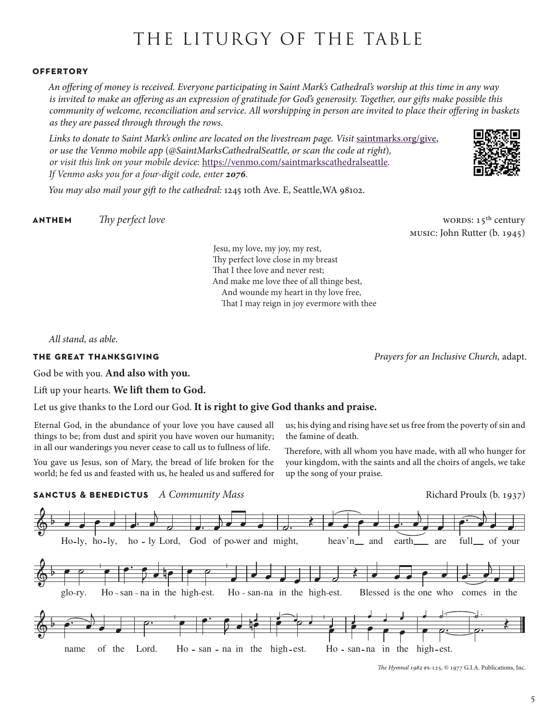## THE LITURGY OF THE TABLE

### **offertory**

*An offering of money is received. Everyone participating in Saint Mark's Cathedral's worship at this time in any way is invited to make an offering as an expression of gratitude for God's generosity. Together, our gifts make possible this community of welcome, reconciliation and service. All worshipping in person are invited to place their offering in baskets as they are passed through through the rows.* 

Links to donate to Saint Mark's online are located on the livestream page. Visit [saintmarks.org/give,](http://saintmarks.org/give) *or use the Venmo mobile app* (*@SaintMarksCathedralSeattle, or scan the code at right*)*, or visit this link on your mobile device:* <https://venmo.com/saintmarkscathedralseattle>*. If Venmo asks you for a four-digit code, enter 2076.*

*You may also mail your gift to the cathedral:* 1245 10th Ave. E, Seattle,WA 98102.

**anthem** *Thy perfect love The perfect love* words: 15<sup>th</sup> century

music: John Rutter (b. 1945)

Jesu, my love, my joy, my rest, Thy perfect love close in my breast That I thee love and never rest; And make me love thee of all thinge best, And wounde my heart in thy love free, That I may reign in joy evermore with thee

*All stand, as able.*

### **the great thanksgiving** *Prayers for an Inclusive Church,* adapt.

God be with you. **And also with you.** 

Lift up your hearts. **We lift them to God.** 

### Let us give thanks to the Lord our God. **It is right to give God thanks and praise.**

Eternal God, in the abundance of your love you have caused all things to be; from dust and spirit you have woven our humanity; in all our wanderings you never cease to call us to fullness of life.

You gave us Jesus, son of Mary, the bread of life broken for the world; he fed us and feasted with us, he healed us and suffered for

us; his dying and rising have set us free from the poverty of sin and the famine of death.

Therefore, with all whom you have made, with all who hunger for your kingdom, with the saints and all the choirs of angels, we take up the song of your praise.



*The Hymnal 1982* #s-125, © 1977 G.I.A. Publications, Inc.

5

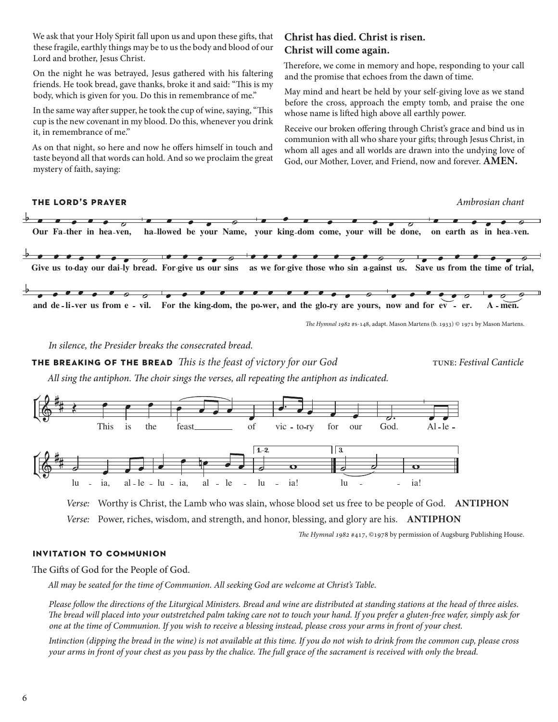We ask that your Holy Spirit fall upon us and upon these gifts, that these fragile, earthly things may be to us the body and blood of our Lord and brother, Jesus Christ.

On the night he was betrayed, Jesus gathered with his faltering friends. He took bread, gave thanks, broke it and said: "This is my body, which is given for you. Do this in remembrance of me."

In the same way after supper, he took the cup of wine, saying, "This cup is the new covenant in my blood. Do this, whenever you drink it, in remembrance of me."

As on that night, so here and now he offers himself in touch and taste beyond all that words can hold. And so we proclaim the great mystery of faith, saying:

### **Christ has died. Christ is risen. Christ will come again.**

Therefore, we come in memory and hope, responding to your call and the promise that echoes from the dawn of time.

May mind and heart be held by your self-giving love as we stand before the cross, approach the empty tomb, and praise the one whose name is lifted high above all earthly power.

Receive our broken offering through Christ's grace and bind us in communion with all who share your gifts; through Jesus Christ, in whom all ages and all worlds are drawn into the undying love of God, our Mother, Lover, and Friend, now and forever. **AMEN.**



*The Hymnal 1982* #s-148, adapt. Mason Martens (b. 1933) © 1971 by Mason Martens.

*In silence, the Presider breaks the consecrated bread.*

**the breaking of the bread** *This is the feast of victory for our God* tune: *Festival Canticle*

*All sing the antiphon. The choir sings the verses, all repeating the antiphon as indicated.*



*Verse:* Worthy is Christ, the Lamb who was slain, whose blood set us free to be people of God. **ANTIPHON** *Verse:* Power, riches, wisdom, and strength, and honor, blessing, and glory are his. **ANTIPHON**

*The Hymnal 1982* #417, ©1978 by permission of Augsburg Publishing House.

### **invitation to communion**

The Gifts of God for the People of God.

*All may be seated for the time of Communion. All seeking God are welcome at Christ's Table.* 

*Please follow the directions of the Liturgical Ministers. Bread and wine are distributed at standing stations at the head of three aisles. The bread will placed into your outstretched palm taking care not to touch your hand. If you prefer a gluten-free wafer, simply ask for one at the time of Communion. If you wish to receive a blessing instead, please cross your arms in front of your chest.*

*Intinction (dipping the bread in the wine) is not available at this time. If you do not wish to drink from the common cup, please cross your arms in front of your chest as you pass by the chalice. The full grace of the sacrament is received with only the bread.*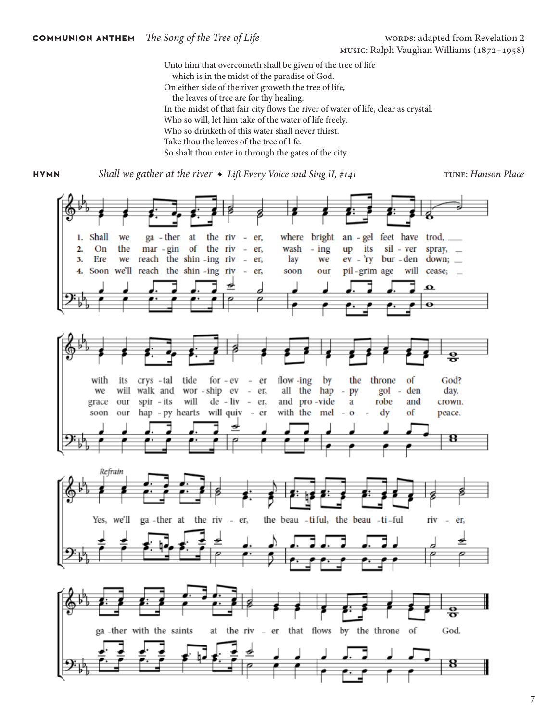Unto him that overcometh shall be given of the tree of life which is in the midst of the paradise of God. On either side of the river groweth the tree of life, the leaves of tree are for thy healing. In the midst of that fair city flows the river of water of life, clear as crystal. Who so will, let him take of the water of life freely. Who so drinketh of this water shall never thirst. Take thou the leaves of the tree of life. So shalt thou enter in through the gates of the city.

**hymn** Shall we gather at the river ◆ Lift Every Voice and Sing II, #141 TUNE: *Hanson Place*